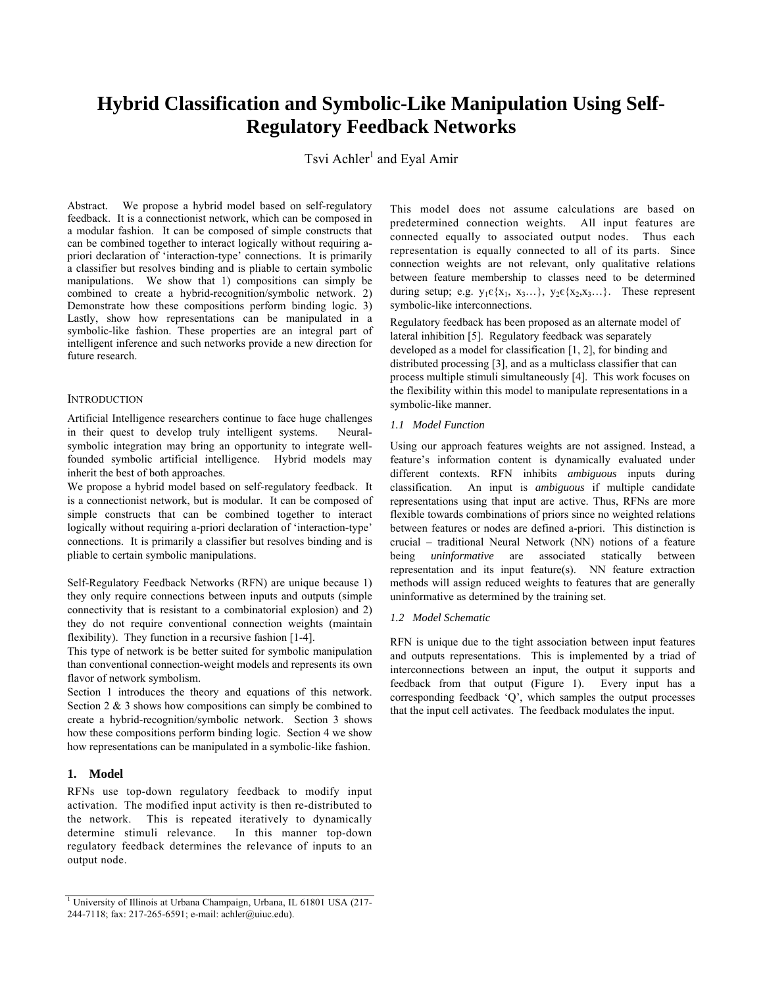# **Hybrid Classification and Symbolic-Like Manipulation Using Self-Regulatory Feedback Networks**

Tsvi Achler<sup>1</sup> and Eyal Amir

Abstract*.* We propose a hybrid model based on self-regulatory feedback. It is a connectionist network, which can be composed in a modular fashion. It can be composed of simple constructs that can be combined together to interact logically without requiring apriori declaration of 'interaction-type' connections. It is primarily a classifier but resolves binding and is pliable to certain symbolic manipulations. We show that 1) compositions can simply be combined to create a hybrid-recognition/symbolic network. 2) Demonstrate how these compositions perform binding logic. 3) Lastly, show how representations can be manipulated in a symbolic-like fashion. These properties are an integral part of intelligent inference and such networks provide a new direction for future research.

## **INTRODUCTION**

Artificial Intelligence researchers continue to face huge challenges in their quest to develop truly intelligent systems. Neuralsymbolic integration may bring an opportunity to integrate wellfounded symbolic artificial intelligence. Hybrid models may inherit the best of both approaches.

We propose a hybrid model based on self-regulatory feedback. It is a connectionist network, but is modular. It can be composed of simple constructs that can be combined together to interact logically without requiring a-priori declaration of 'interaction-type' connections. It is primarily a classifier but resolves binding and is pliable to certain symbolic manipulations.

Self-Regulatory Feedback Networks (RFN) are unique because 1) they only require connections between inputs and outputs (simple connectivity that is resistant to a combinatorial explosion) and 2) they do not require conventional connection weights (maintain flexibility). They function in a recursive fashion [1-4].

This type of network is be better suited for symbolic manipulation than conventional connection-weight models and represents its own flavor of network symbolism.

Section 1 introduces the theory and equations of this network. Section  $2 \& 3$  shows how compositions can simply be combined to create a hybrid-recognition/symbolic network. Section 3 shows how these compositions perform binding logic. Section 4 we show how representations can be manipulated in a symbolic-like fashion.

# **1. Model**

RFNs use top-down regulatory feedback to modify input activation. The modified input activity is then re-distributed to the network. This is repeated iteratively to dynamically determine stimuli relevance. In this manner top-down regulatory feedback determines the relevance of inputs to an output node.

This model does not assume calculations are based on predetermined connection weights. All input features are connected equally to associated output nodes. Thus each representation is equally connected to all of its parts. Since connection weights are not relevant, only qualitative relations between feature membership to classes need to be determined during setup; e.g.  $y_1 \in \{x_1, x_3...\}$ ,  $y_2 \in \{x_2, x_3...\}$ . These represent symbolic-like interconnections.

Regulatory feedback has been proposed as an alternate model of lateral inhibition [5]. Regulatory feedback was separately developed as a model for classification [1, 2], for binding and distributed processing [3], and as a multiclass classifier that can process multiple stimuli simultaneously [4]. This work focuses on the flexibility within this model to manipulate representations in a symbolic-like manner.

# *1.1 Model Function*

Using our approach features weights are not assigned. Instead, a feature's information content is dynamically evaluated under different contexts. RFN inhibits *ambiguous* inputs during classification. An input is *ambiguous* if multiple candidate representations using that input are active. Thus, RFNs are more flexible towards combinations of priors since no weighted relations between features or nodes are defined a-priori. This distinction is crucial – traditional Neural Network (NN) notions of a feature being *uninformative* are associated statically between representation and its input feature(s). NN feature extraction methods will assign reduced weights to features that are generally uninformative as determined by the training set.

#### *1.2 Model Schematic*

RFN is unique due to the tight association between input features and outputs representations. This is implemented by a triad of interconnections between an input, the output it supports and feedback from that output (Figure 1). Every input has a corresponding feedback 'Q', which samples the output processes that the input cell activates. The feedback modulates the input.

<sup>&</sup>lt;sup>1</sup> University of Illinois at Urbana Champaign, Urbana, IL 61801 USA (217-244-7118; fax: 217-265-6591; e-mail: achler@uiuc.edu).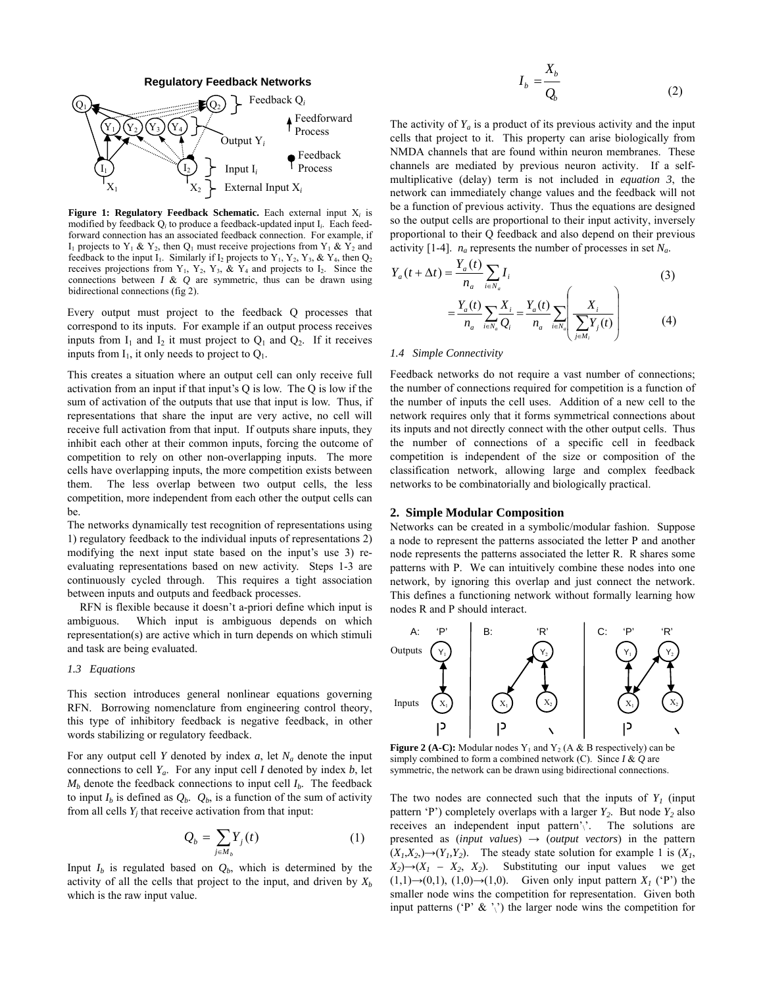

**Figure 1: Regulatory Feedback Schematic.** Each external input X*<sup>i</sup>* is modified by feedback Q*i* to produce a feedback-updated input I*i*. Each feedforward connection has an associated feedback connection. For example, if  $I_1$  projects to  $Y_1$  &  $Y_2$ , then  $Q_1$  must receive projections from  $Y_1$  &  $Y_2$  and feedback to the input I<sub>1</sub>. Similarly if I<sub>2</sub> projects to Y<sub>1</sub>, Y<sub>2</sub>, Y<sub>3</sub>, & Y<sub>4</sub>, then Q<sub>2</sub> receives projections from  $Y_1$ ,  $Y_2$ ,  $Y_3$ ,  $\& Y_4$  and projects to  $I_2$ . Since the connections between *I* & *Q* are symmetric, thus can be drawn using bidirectional connections (fig 2).

Every output must project to the feedback O processes that correspond to its inputs. For example if an output process receives inputs from  $I_1$  and  $I_2$  it must project to  $Q_1$  and  $Q_2$ . If it receives inputs from  $I_1$ , it only needs to project to  $Q_1$ .

This creates a situation where an output cell can only receive full activation from an input if that input's Q is low. The Q is low if the sum of activation of the outputs that use that input is low. Thus, if representations that share the input are very active, no cell will receive full activation from that input. If outputs share inputs, they inhibit each other at their common inputs, forcing the outcome of competition to rely on other non-overlapping inputs. The more cells have overlapping inputs, the more competition exists between them. The less overlap between two output cells, the less competition, more independent from each other the output cells can be.

The networks dynamically test recognition of representations using 1) regulatory feedback to the individual inputs of representations 2) modifying the next input state based on the input's use 3) reevaluating representations based on new activity. Steps 1-3 are continuously cycled through. This requires a tight association between inputs and outputs and feedback processes.

RFN is flexible because it doesn't a-priori define which input is ambiguous. Which input is ambiguous depends on which representation(s) are active which in turn depends on which stimuli and task are being evaluated.

#### *1.3 Equations*

This section introduces general nonlinear equations governing RFN. Borrowing nomenclature from engineering control theory, this type of inhibitory feedback is negative feedback, in other words stabilizing or regulatory feedback.

For any output cell *Y* denoted by index  $a$ , let  $N_a$  denote the input connections to cell  $Y_a$ . For any input cell *I* denoted by index *b*, let  $M_h$  denote the feedback connections to input cell  $I_h$ . The feedback to input  $I_b$  is defined as  $Q_b$ .  $Q_b$ , is a function of the sum of activity from all cells  $Y_i$  that receive activation from that input:

$$
Q_b = \sum_{j \in M_b} Y_j(t) \tag{1}
$$

Input  $I_b$  is regulated based on  $Q_b$ , which is determined by the activity of all the cells that project to the input, and driven by  $X_b$ which is the raw input value.

$$
I_b = \frac{X_b}{Q_b} \tag{2}
$$

The activity of  $Y_a$  is a product of its previous activity and the input cells that project to it. This property can arise biologically from NMDA channels that are found within neuron membranes. These channels are mediated by previous neuron activity. If a selfmultiplicative (delay) term is not included in *equation 3*, the network can immediately change values and the feedback will not be a function of previous activity. Thus the equations are designed so the output cells are proportional to their input activity, inversely proportional to their Q feedback and also depend on their previous activity [1-4].  $n_a$  represents the number of processes in set  $N_a$ .

$$
Y_{a}(t + \Delta t) = \frac{Y_{a}(t)}{n_{a}} \sum_{i \in N_{a}} I_{i}
$$
\n
$$
= \frac{Y_{a}(t)}{n_{a}} \sum_{i \in N_{a}} \frac{X_{i}}{Q_{i}} = \frac{Y_{a}(t)}{n_{a}} \sum_{i \in N_{a}} \left( \frac{X_{i}}{\sum_{j \in M_{i}} Y_{j}(t)} \right)
$$
\n(3)

#### *1.4 Simple Connectivity*

Feedback networks do not require a vast number of connections; the number of connections required for competition is a function of the number of inputs the cell uses. Addition of a new cell to the network requires only that it forms symmetrical connections about its inputs and not directly connect with the other output cells. Thus the number of connections of a specific cell in feedback competition is independent of the size or composition of the classification network, allowing large and complex feedback networks to be combinatorially and biologically practical.

### **2. Simple Modular Composition**

Networks can be created in a symbolic/modular fashion. Suppose a node to represent the patterns associated the letter P and another node represents the patterns associated the letter R. R shares some patterns with P. We can intuitively combine these nodes into one network, by ignoring this overlap and just connect the network. This defines a functioning network without formally learning how nodes R and P should interact.



**Figure 2 (A-C):** Modular nodes  $Y_1$  and  $Y_2$  (A & B respectively) can be simply combined to form a combined network (C). Since *I* & *Q* are symmetric, the network can be drawn using bidirectional connections.

The two nodes are connected such that the inputs of  $Y_I$  (input pattern 'P') completely overlaps with a larger  $Y_2$ . But node  $Y_2$  also receives an independent input pattern'\'. The solutions are presented as  $(input \text{ values}) \rightarrow (output \text{ vectors})$  in the pattern  $(X_1, X_2) \rightarrow (Y_1, Y_2)$ . The steady state solution for example 1 is  $(X_1, X_2)$  $(X_2) \rightarrow (X_1 - X_2, X_2)$ . Substituting our input values we get  $(1,1) \rightarrow (0,1)$ ,  $(1,0) \rightarrow (1,0)$ . Given only input pattern  $X_i$  (°P') the smaller node wins the competition for representation. Given both input patterns ( $\mathbf{P} \times \mathbf{X}$ ) the larger node wins the competition for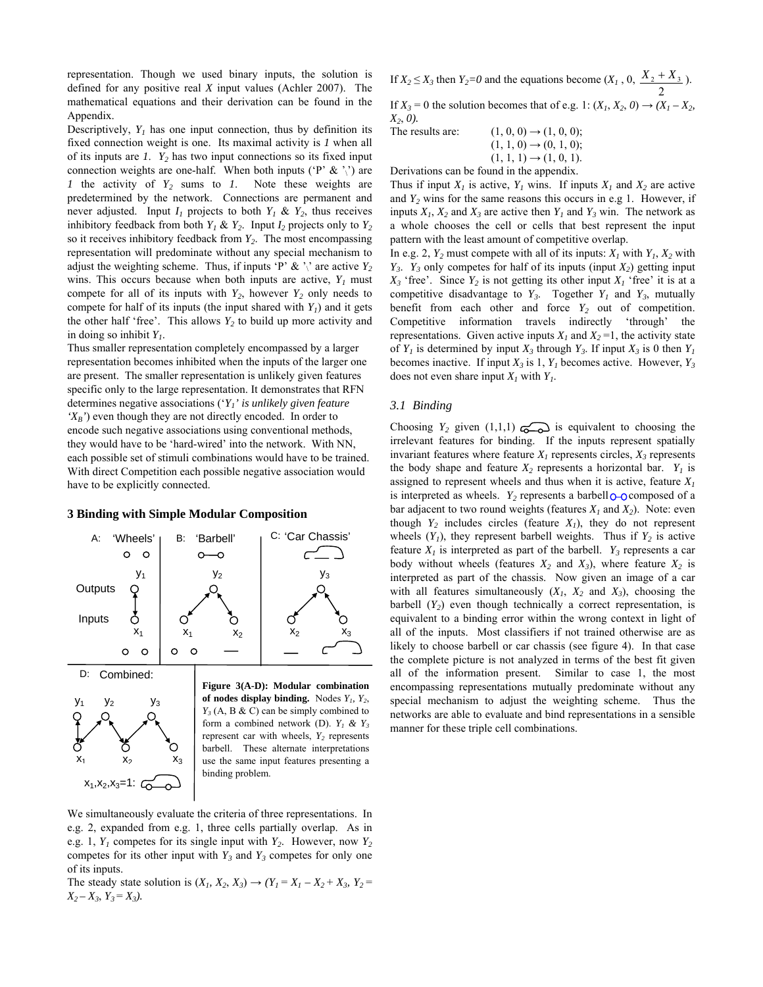representation. Though we used binary inputs, the solution is defined for any positive real *X* input values (Achler 2007). The mathematical equations and their derivation can be found in the Appendix.

Descriptively,  $Y_l$  has one input connection, thus by definition its fixed connection weight is one. Its maximal activity is *1* when all of its inputs are  $I$ .  $Y_2$  has two input connections so its fixed input connection weights are one-half. When both inputs ( $P' \& \gamma'$ ) are *1* the activity of *Y2* sums to *1*. Note these weights are predetermined by the network. Connections are permanent and never adjusted. Input  $I_1$  projects to both  $Y_1 \& Y_2$ , thus receives inhibitory feedback from both  $Y_1 \& Y_2$ . Input  $I_2$  projects only to  $Y_2$ so it receives inhibitory feedback from *Y2*. The most encompassing representation will predominate without any special mechanism to adjust the weighting scheme. Thus, if inputs 'P'  $\&$  ',' are active  $Y_2$ wins. This occurs because when both inputs are active,  $Y_1$  must compete for all of its inputs with  $Y_2$ , however  $Y_2$  only needs to compete for half of its inputs (the input shared with  $Y_I$ ) and it gets the other half 'free'. This allows  $Y_2$  to build up more activity and in doing so inhibit *Y1*.

Thus smaller representation completely encompassed by a larger representation becomes inhibited when the inputs of the larger one are present. The smaller representation is unlikely given features specific only to the large representation. It demonstrates that RFN determines negative associations ('*Y1' is unlikely given feature 'XB'*) even though they are not directly encoded. In order to encode such negative associations using conventional methods, they would have to be 'hard-wired' into the network. With NN, each possible set of stimuli combinations would have to be trained. With direct Competition each possible negative association would have to be explicitly connected.

#### **3 Binding with Simple Modular Composition**





**Figure 3(A-D): Modular combination**  of nodes display binding. Nodes  $Y_1$ ,  $Y_2$ ,  $Y_3$  (A, B & C) can be simply combined to form a combined network (D).  $Y_1 \& Y_3$ represent car with wheels,  $Y_2$  represents barbell. These alternate interpretations use the same input features presenting a binding problem.

We simultaneously evaluate the criteria of three representations. In e.g. 2, expanded from e.g. 1, three cells partially overlap. As in e.g. 1,  $Y_1$  competes for its single input with  $Y_2$ . However, now  $Y_2$ competes for its other input with  $Y_3$  and  $Y_3$  competes for only one of its inputs.

The steady state solution is  $(X_1, X_2, X_3) \rightarrow (Y_1 = X_1 - X_2 + X_3, Y_2 =$  $X_2 - X_3$ ,  $Y_3 = X_3$ ).

If  $X_2 \le X_3$  then  $Y_2 = 0$  and the equations become  $(X_1, 0, 0)$ 2  $X_2 + X_3$ . If  $X_3 = 0$  the solution becomes that of e.g. 1:  $(X_1, X_2, 0) \rightarrow (X_1 - X_2, 0)$ *X2*, *0).* 

The results are:  $(1, 0, 0) \rightarrow (1, 0, 0);$  $(1, 1, 0) \rightarrow (0, 1, 0);$  $(1, 1, 1) \rightarrow (1, 0, 1).$ 

Derivations can be found in the appendix.

Thus if input  $X_I$  is active,  $Y_I$  wins. If inputs  $X_I$  and  $X_2$  are active and  $Y_2$  wins for the same reasons this occurs in e.g 1. However, if inputs  $X_1$ ,  $X_2$  and  $X_3$  are active then  $Y_1$  and  $Y_3$  win. The network as a whole chooses the cell or cells that best represent the input pattern with the least amount of competitive overlap.

In e.g. 2,  $Y_2$  must compete with all of its inputs:  $X_1$  with  $Y_1$ ,  $X_2$  with  $Y_3$ .  $Y_3$  only competes for half of its inputs (input  $X_2$ ) getting input  $X_3$  'free'. Since  $Y_2$  is not getting its other input  $X_1$  'free' it is at a competitive disadvantage to  $Y_3$ . Together  $Y_1$  and  $Y_3$ , mutually benefit from each other and force  $Y_2$  out of competition. Competitive information travels indirectly 'through' the representations. Given active inputs  $X_1$  and  $X_2 = 1$ , the activity state of  $Y_1$  is determined by input  $X_3$  through  $Y_3$ . If input  $X_3$  is 0 then  $Y_1$ becomes inactive. If input  $X_3$  is 1,  $Y_1$  becomes active. However,  $Y_3$ does not even share input  $X_i$  with  $Y_i$ .

## *3.1 Binding*

Choosing  $Y_2$  given  $(1,1,1)$   $\overline{\bigodot}$  is equivalent to choosing the irrelevant features for binding. If the inputs represent spatially invariant features where feature  $X_i$  represents circles,  $X_i$  represents the body shape and feature  $X_2$  represents a horizontal bar.  $Y_1$  is assigned to represent wheels and thus when it is active, feature  $X_I$ is interpreted as wheels. *Y<sub>2</sub>* represents a barbell  $\bigcirc$ - $\bigcirc$  composed of a bar adjacent to two round weights (features  $X_1$  and  $X_2$ ). Note: even though  $Y_2$  includes circles (feature  $X_1$ ), they do not represent wheels  $(Y_1)$ , they represent barbell weights. Thus if  $Y_2$  is active feature  $X_I$  is interpreted as part of the barbell.  $Y_3$  represents a car body without wheels (features  $X_2$  and  $X_3$ ), where feature  $X_2$  is interpreted as part of the chassis. Now given an image of a car with all features simultaneously  $(X_1, X_2, X_3)$ , choosing the barbell  $(Y_2)$  even though technically a correct representation, is equivalent to a binding error within the wrong context in light of all of the inputs. Most classifiers if not trained otherwise are as likely to choose barbell or car chassis (see figure 4). In that case the complete picture is not analyzed in terms of the best fit given all of the information present. Similar to case 1, the most encompassing representations mutually predominate without any special mechanism to adjust the weighting scheme. Thus the networks are able to evaluate and bind representations in a sensible manner for these triple cell combinations.